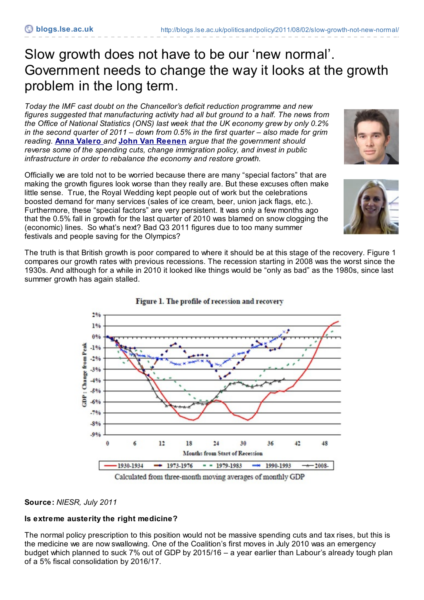# Slow growth does not have to be our 'new normal'. Government needs to change the way it looks at the growth problem in the long term.

*Today the IMF cast doubt on the Chancellor's deficit reduction programme and new figures suggested that manufacturing activity had all but ground to a half. The news from the Office of National Statistics (ONS) last week that the UK economy grew by only 0.2% in the second quarter of 2011 – down from 0.5% in the first quarter – also made for grim reading.* **Anna [Valero](http://blogs.lse.ac.uk/politicsandpolicy/contributors/#Anna_Valero)** *and* **John Van [Reenen](http://blogs.lse.ac.uk/politicsandpolicy/contributors/#John_van_Reenen)** *argue that the government should reverse some of the spending cuts, change immigration policy, and invest in public infrastructure in order to rebalance the economy and restore growth.*

Officially we are told not to be worried because there are many "special factors" that are making the growth figures look worse than they really are. But these excuses often make little sense. True, the Royal Wedding kept people out of work but the celebrations boosted demand for many services (sales of ice cream, beer, union jack flags, etc.). Furthermore, these "special factors" are very persistent. It was only a few months ago that the 0.5% fall in growth for the last quarter of 2010 was blamed on snow clogging the (economic) lines. So what's next? Bad Q3 2011 figures due to too many summer festivals and people saving for the Olympics?

The truth is that British growth is poor compared to where it should be at this stage of the recovery. Figure 1 compares our growth rates with previous recessions. The recession starting in 2008 was the worst since the 1930s. And although for a while in 2010 it looked like things would be "only as bad" as the 1980s, since last summer growth has again stalled.

Figure 1. The profile of recession and recovery

 $296$ 1%  $0.96$ **Oange** from Peak  $-1%$  $-296$  $-3%$  $-4%$  $.50/$  $-6%$  $.70.6$  $-8%$  $-9%$  $\epsilon$  $12$ 18 36 45  $\theta$  $54$ 30 48 Months from Start of Recession 1930-1934  $-1973-1976$  $-$  1979-1983  $-$  1990-1993  $-$  2008-Calculated from three-month moving averages of monthly GDP

## **Source:** *NIESR, July 2011*

# **Is extreme austerity the right medicine?**

The normal policy prescription to this position would not be massive spending cuts and tax rises, but this is the medicine we are now swallowing. One of the Coalition's first moves in July 2010 was an emergency budget which planned to suck 7% out of GDP by 2015/16 – a year earlier than Labour's already tough plan of a 5% fiscal consolidation by 2016/17.





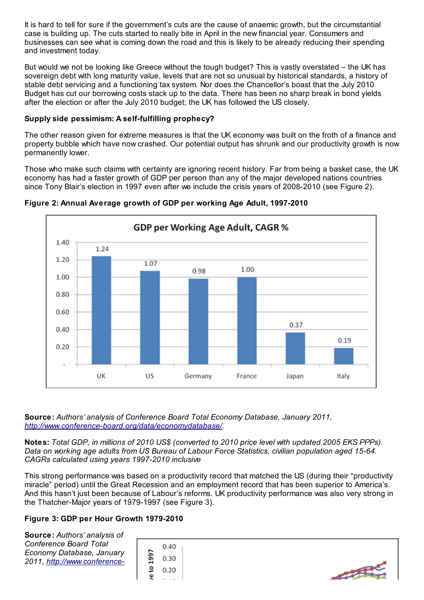It is hard to tell for sure if the government's cuts are the cause of anaemic growth, but the circumstantial case is building up. The cuts started to really bite in April in the new financial year. Consumers and businesses can see what is coming down the road and this is likely to be already reducing their spending and investment today.

But would we not be looking like Greece without the tough budget? This is vastly overstated – the UK has sovereign debt with long maturity value, levels that are not so unusual by historical standards, a history of stable debt servicing and a functioning tax system. Nor does the Chancellor's boast that the July 2010 Budget has cut our borrowing costs stack up to the data. There has been no sharp break in bond yields after the election or after the July 2010 budget; the UK has followed the US closely.

## **Supply side pessimism: A self-fulfilling prophecy?**

The other reason given for extreme measures is that the UK economy was built on the froth of a finance and property bubble which have now crashed. Our potential output has shrunk and our productivity growth is now permanently lower.

Those who make such claims with certainty are ignoring recent history. Far from being a basket case, the UK economy has had a faster growth of GDP per person than any of the major developed nations countries since Tony Blair's election in 1997 even after we include the crisis years of 2008-2010 (see Figure 2).



**Figure 2: Annual Average growth of GDP per working Age Adult, 1997-2010**

**Source:** *Authors' analysis of Conference Board Total Economy Database, January 2011, <http://www.conference-board.org/data/economydatabase/>.*

Notes: Total GDP, in millions of 2010 US\$ (converted to 2010 price level with updated 2005 EKS PPPs). *Data on working age adults from US Bureau of Labour Force Statistics, civilian population aged 15-64. CAGRs calculated using years 1997-2010 inclusive*

This strong performance was based on a productivity record that matched the US (during their "productivity miracle" period) until the Great Recession and an employment record that has been superior to America's. And this hasn't just been because of Labour's reforms. UK productivity performance was also very strong in the Thatcher-Major years of 1979-1997 (see Figure 3).

# **Figure 3: GDP per Hour Growth 1979-2010**

**Source:** *Authors' analysis of Conference Board Total Economy Database, January 2011, http://www.conference-*

| r             | 0.40 |
|---------------|------|
| o۱<br>Фì<br>ᆏ | 0.30 |
| ខ             | 0.20 |
| Ψ             |      |

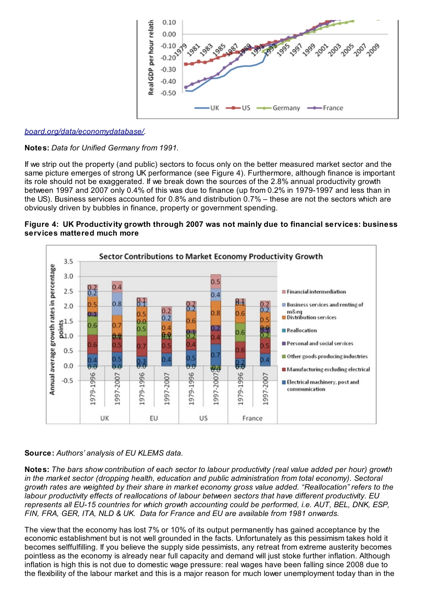

### *[board.org/data/economydatabase/](http://www.conference-board.org/data/economydatabase/).*

#### **Notes:** *Data for Unified Germany from 1991.*

If we strip out the property (and public) sectors to focus only on the better measured market sector and the same picture emerges of strong UK performance (see Figure 4). Furthermore, although finance is important its role should not be exaggerated. If we break down the sources of the 2.8% annual productivity growth between 1997 and 2007 only 0.4% of this was due to finance (up from 0.2% in 1979-1997 and less than in the US). Business services accounted for 0.8% and distribution 0.7% – these are not the sectors which are obviously driven by bubbles in finance, property or government spending.





#### **Source:** *Authors' analysis of EU KLEMS data.*

Notes: The bars show contribution of each sector to labour productivity (real value added per hour) growth *in the market sector (dropping health, education and public administration from total economy). Sectoral* growth rates are weighted by their share in market economy gross value added. "Reallocation" refers to the *labour productivity effects of reallocations of labour between sectors that have different productivity. EU represents all EU-15 countries for which growth accounting could be performed, i.e. AUT, BEL, DNK, ESP, FIN, FRA, GER, ITA, NLD & UK. Data for France and EU are available from 1981 onwards.*

The view that the economy has lost 7% or 10% of its output permanently has gained acceptance by the economic establishment but is not well grounded in the facts. Unfortunately as this pessimism takes hold it becomes selffulfilling. If you believe the supply side pessimists, any retreat from extreme austerity becomes pointless as the economy is already near full capacity and demand will just stoke further inflation. Although inflation is high this is not due to domestic wage pressure: real wages have been falling since 2008 due to the flexibility of the labour market and this is a major reason for much lower unemployment today than in the